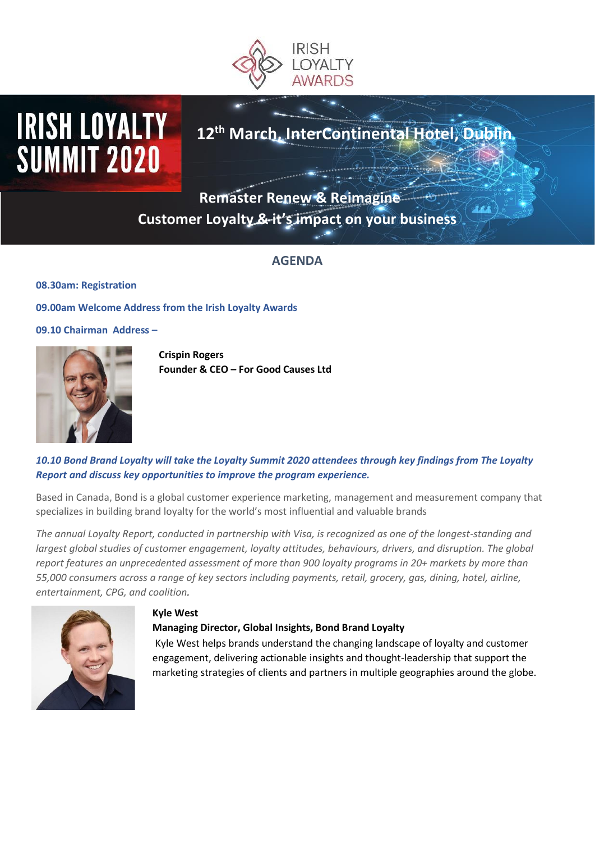

# **IRISH LOYALTY SUMMIT 2020**

# **12th March, InterContinental Hotel, Dublin**

**Remaster Renew & Reimagine Customer Loyalty & it's impact on your business** 

# **AGENDA**

**08.30am: Registration**

**09.00am Welcome Address from the Irish Loyalty Awards**

**09.10 Chairman Address –**



**Crispin Rogers Founder & CEO – For Good Causes Ltd**

# *10.10 Bond Brand Loyalty will take the Loyalty Summit 2020 attendees through key findings from The Loyalty Report and discuss key opportunities to improve the program experience.*

Based in Canada, Bond is a global customer experience marketing, management and measurement company that specializes in building brand loyalty for the world's most influential and valuable brands

*The annual Loyalty Report, conducted in partnership with Visa, is recognized as one of the longest-standing and largest global studies of customer engagement, loyalty attitudes, behaviours, drivers, and disruption. The global report features an unprecedented assessment of more than 900 loyalty programs in 20+ markets by more than 55,000 consumers across a range of key sectors including payments, retail, grocery, gas, dining, hotel, airline, entertainment, CPG, and coalition.*



#### **Kyle West**

# **Managing Director, Global Insights, Bond Brand Loyalty**

Kyle West helps brands understand the changing landscape of loyalty and customer engagement, delivering actionable insights and thought-leadership that support the marketing strategies of clients and partners in multiple geographies around the globe.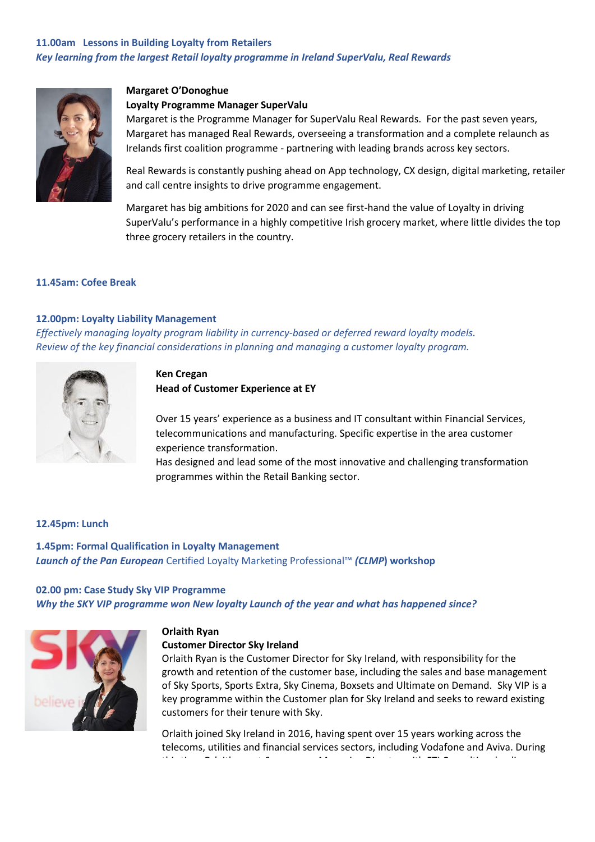# **11.00am Lessons in Building Loyalty from Retailers** *Key learning from the largest Retail loyalty programme in Ireland SuperValu, Real Rewards*



#### **Margaret O'Donoghue**

#### **Loyalty Programme Manager SuperValu**

Margaret is the Programme Manager for SuperValu Real Rewards. For the past seven years, Margaret has managed Real Rewards, overseeing a transformation and a complete relaunch as Irelands first coalition programme - partnering with leading brands across key sectors.

Real Rewards is constantly pushing ahead on App technology, CX design, digital marketing, retailer and call centre insights to drive programme engagement.

Margaret has big ambitions for 2020 and can see first-hand the value of Loyalty in driving SuperValu's performance in a highly competitive Irish grocery market, where little divides the top three grocery retailers in the country.

#### **11.45am: Cofee Break**

#### **12.00pm: Loyalty Liability Management**

*Effectively managing loyalty program liability in currency-based or deferred reward loyalty models. Review of the key financial considerations in planning and managing a customer loyalty program.*



#### **Ken Cregan**

**Head of Customer Experience at EY**

Over 15 years' experience as a business and IT consultant within Financial Services, telecommunications and manufacturing. Specific expertise in the area customer experience transformation.

Has designed and lead some of the most innovative and challenging transformation programmes within the Retail Banking sector.

#### **12.45pm: Lunch**

**1.45pm: Formal Qualification in Loyalty Management**  *Launch of the Pan European* Certified Loyalty Marketing Professional™ *(CLMP***) workshop**

# **02.00 pm: Case Study Sky VIP Programme**  *Why the SKY VIP programme won New loyalty Launch of the year and what has happened since?*



#### **Orlaith Ryan**

#### **Customer Director Sky Ireland**

Orlaith Ryan is the Customer Director for Sky Ireland, with responsibility for the growth and retention of the customer base, including the sales and base management of Sky Sports, Sports Extra, Sky Cinema, Boxsets and Ultimate on Demand. Sky VIP is a key programme within the Customer plan for Sky Ireland and seeks to reward existing customers for their tenure with Sky.

Orlaith joined Sky Ireland in 2016, having spent over 15 years working across the telecoms, utilities and financial services sectors, including Vodafone and Aviva. During this time Orlaith spent 6 years as a Managing Director with FTI Consulting, leading